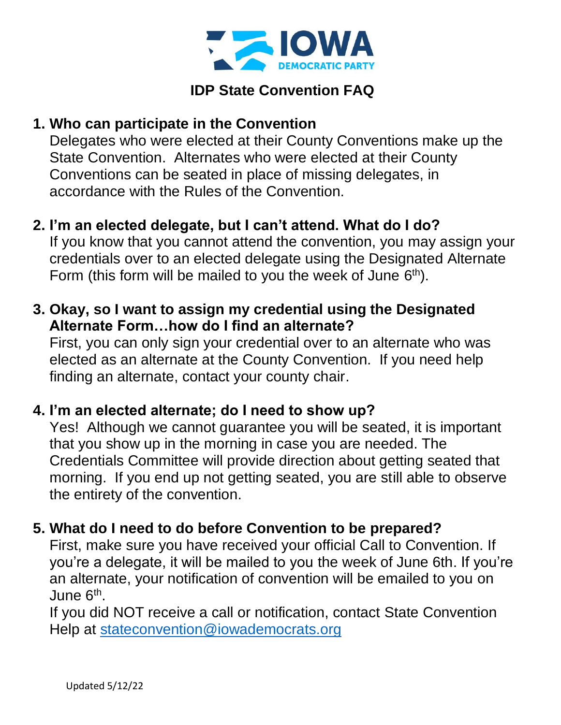

# **IDP State Convention FAQ**

### **1. Who can participate in the Convention**

Delegates who were elected at their County Conventions make up the State Convention. Alternates who were elected at their County Conventions can be seated in place of missing delegates, in accordance with the Rules of the Convention.

# **2. I'm an elected delegate, but I can't attend. What do I do?**

If you know that you cannot attend the convention, you may assign your credentials over to an elected delegate using the Designated Alternate Form (this form will be mailed to you the week of June  $6<sup>th</sup>$ ).

### **3. Okay, so I want to assign my credential using the Designated Alternate Form…how do I find an alternate?**

First, you can only sign your credential over to an alternate who was elected as an alternate at the County Convention. If you need help finding an alternate, contact your county chair.

### **4. I'm an elected alternate; do I need to show up?**

Yes! Although we cannot guarantee you will be seated, it is important that you show up in the morning in case you are needed. The Credentials Committee will provide direction about getting seated that morning. If you end up not getting seated, you are still able to observe the entirety of the convention.

### **5. What do I need to do before Convention to be prepared?**

First, make sure you have received your official Call to Convention. If you're a delegate, it will be mailed to you the week of June 6th. If you're an alternate, your notification of convention will be emailed to you on June 6<sup>th</sup>.

If you did NOT receive a call or notification, contact State Convention Help at [stateconvention@iowademocrats.org](mailto:stateconvention@iowademocrats.org)